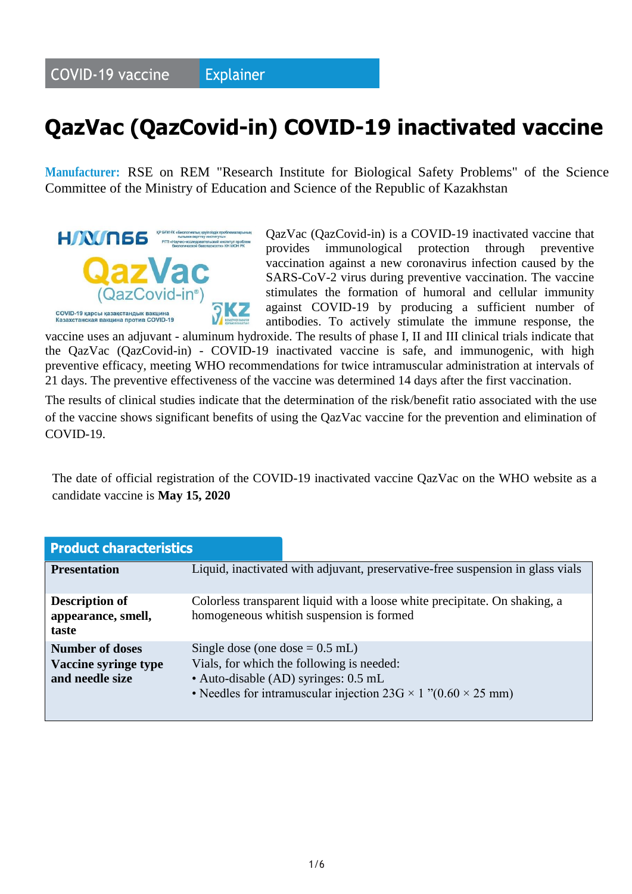#### **COVID-19 vaccine Explainer**

# **QazVac (QazCovid-in) COVID-19 inactivated vaccine**

**Manufacturer:** RSE on REM "Research Institute for Biological Safety Problems" of the Science Committee of the Ministry of Education and Science of the Republic of Kazakhstan



QazVac (QazCovid-in) is a COVID-19 inactivated vaccine that provides immunological protection through preventive vaccination against a new coronavirus infection caused by the SARS-CoV-2 virus during preventive vaccination. The vaccine stimulates the formation of humoral and cellular immunity against COVID-19 by producing a sufficient number of antibodies. To actively stimulate the immune response, the

vaccine uses an adjuvant - aluminum hydroxide. The results of phase I, II and III clinical trials indicate that the QazVac (QazCovid-in) - COVID-19 inactivated vaccine is safe, and immunogenic, with high preventive efficacy, meeting WHO recommendations for twice intramuscular administration at intervals of 21 days. The preventive effectiveness of the vaccine was determined 14 days after the first vaccination.

The results of clinical studies indicate that the determination of the risk/benefit ratio associated with the use of the vaccine shows significant benefits of using the QazVac vaccine for the prevention and elimination of COVID-19.

The date of official registration of the COVID-19 inactivated vaccine QazVac on the WHO website as a candidate vaccine is **May 15, 2020**

| <b>Product characteristics</b>                                    |                                                                                                                                                                                                       |
|-------------------------------------------------------------------|-------------------------------------------------------------------------------------------------------------------------------------------------------------------------------------------------------|
| <b>Presentation</b>                                               | Liquid, inactivated with adjuvant, preservative-free suspension in glass vials                                                                                                                        |
| <b>Description of</b><br>appearance, smell,<br>taste              | Colorless transparent liquid with a loose white precipitate. On shaking, a<br>homogeneous whitish suspension is formed                                                                                |
| <b>Number of doses</b><br>Vaccine syringe type<br>and needle size | Single dose (one dose $= 0.5$ mL)<br>Vials, for which the following is needed:<br>• Auto-disable (AD) syringes: 0.5 mL<br>• Needles for intramuscular injection $23G \times 1$ "(0.60 $\times$ 25 mm) |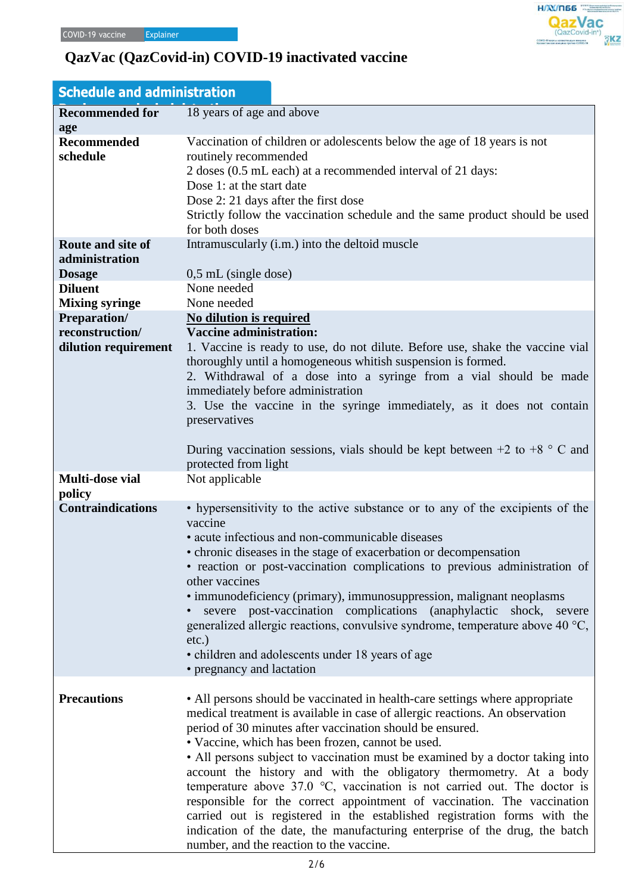| <b>Schedule and administration</b>                                               |                                                                                                                                                                                                                                                                                                                                                                                                                                                                                                                                                                                                                                                                                                                                                                                                       |  |
|----------------------------------------------------------------------------------|-------------------------------------------------------------------------------------------------------------------------------------------------------------------------------------------------------------------------------------------------------------------------------------------------------------------------------------------------------------------------------------------------------------------------------------------------------------------------------------------------------------------------------------------------------------------------------------------------------------------------------------------------------------------------------------------------------------------------------------------------------------------------------------------------------|--|
| <b>Recommended for</b><br>age                                                    | 18 years of age and above                                                                                                                                                                                                                                                                                                                                                                                                                                                                                                                                                                                                                                                                                                                                                                             |  |
| <b>Recommended</b><br>schedule                                                   | Vaccination of children or adolescents below the age of 18 years is not<br>routinely recommended<br>2 doses (0.5 mL each) at a recommended interval of 21 days:<br>Dose 1: at the start date<br>Dose 2: 21 days after the first dose<br>Strictly follow the vaccination schedule and the same product should be used<br>for both doses                                                                                                                                                                                                                                                                                                                                                                                                                                                                |  |
| Route and site of<br>administration<br><b>Dosage</b><br><b>Diluent</b>           | Intramuscularly (i.m.) into the deltoid muscle<br>$0,5$ mL (single dose)<br>None needed<br>None needed                                                                                                                                                                                                                                                                                                                                                                                                                                                                                                                                                                                                                                                                                                |  |
| <b>Mixing syringe</b><br>Preparation/<br>reconstruction/<br>dilution requirement | No dilution is required<br><b>Vaccine administration:</b><br>1. Vaccine is ready to use, do not dilute. Before use, shake the vaccine vial<br>thoroughly until a homogeneous whitish suspension is formed.<br>2. Withdrawal of a dose into a syringe from a vial should be made<br>immediately before administration<br>3. Use the vaccine in the syringe immediately, as it does not contain<br>preservatives<br>During vaccination sessions, vials should be kept between $+2$ to $+8$ ° C and<br>protected from light                                                                                                                                                                                                                                                                              |  |
| Multi-dose vial                                                                  | Not applicable                                                                                                                                                                                                                                                                                                                                                                                                                                                                                                                                                                                                                                                                                                                                                                                        |  |
| policy<br><b>Contraindications</b>                                               | • hypersensitivity to the active substance or to any of the excipients of the<br>vaccine<br>• acute infectious and non-communicable diseases<br>• chronic diseases in the stage of exacerbation or decompensation<br>• reaction or post-vaccination complications to previous administration of<br>other vaccines<br>• immunodeficiency (primary), immunosuppression, malignant neoplasms<br>severe post-vaccination complications (anaphylactic<br>shock, severe<br>generalized allergic reactions, convulsive syndrome, temperature above 40 °C,<br>$etc.$ )<br>• children and adolescents under 18 years of age<br>• pregnancy and lactation                                                                                                                                                       |  |
| <b>Precautions</b>                                                               | • All persons should be vaccinated in health-care settings where appropriate<br>medical treatment is available in case of allergic reactions. An observation<br>period of 30 minutes after vaccination should be ensured.<br>• Vaccine, which has been frozen, cannot be used.<br>• All persons subject to vaccination must be examined by a doctor taking into<br>account the history and with the obligatory thermometry. At a body<br>temperature above $37.0$ °C, vaccination is not carried out. The doctor is<br>responsible for the correct appointment of vaccination. The vaccination<br>carried out is registered in the established registration forms with the<br>indication of the date, the manufacturing enterprise of the drug, the batch<br>number, and the reaction to the vaccine. |  |

 $H/N/T$ 056 **QazVac** 

кирсы қазақстандын

 $\overline{\partial}$ KZ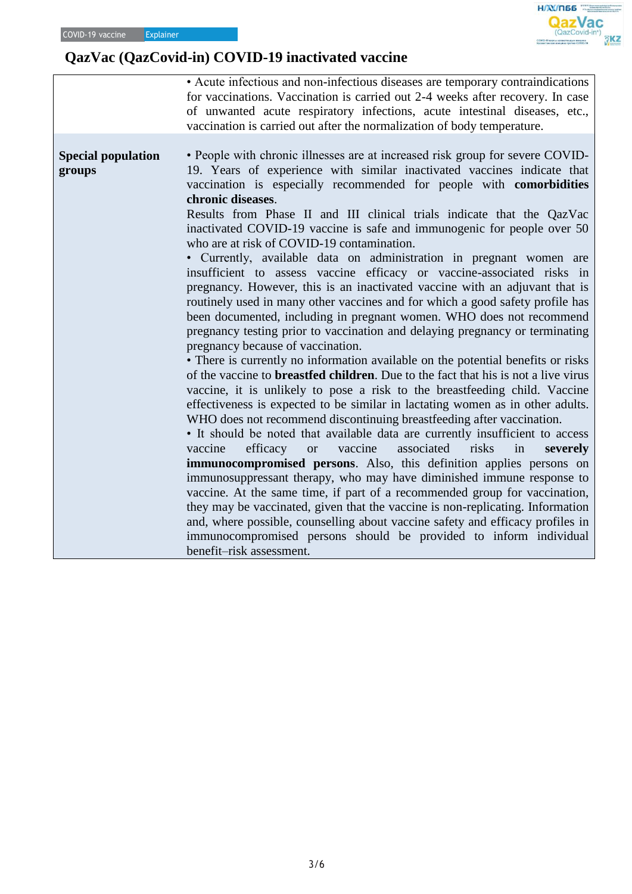|                                     | • Acute infectious and non-infectious diseases are temporary contraindications<br>for vaccinations. Vaccination is carried out 2-4 weeks after recovery. In case<br>of unwanted acute respiratory infections, acute intestinal diseases, etc.,<br>vaccination is carried out after the normalization of body temperature.                                                                                                                                                                                                                                                                                                                                                                                                                                                                                                                                                                                                                                                                                                                                                                                                                                                                                                                                                                                                                                                                                                                                                                                                                                                                                                                                                                                                                                                                                                                                                                                                                                                                                                                               |
|-------------------------------------|---------------------------------------------------------------------------------------------------------------------------------------------------------------------------------------------------------------------------------------------------------------------------------------------------------------------------------------------------------------------------------------------------------------------------------------------------------------------------------------------------------------------------------------------------------------------------------------------------------------------------------------------------------------------------------------------------------------------------------------------------------------------------------------------------------------------------------------------------------------------------------------------------------------------------------------------------------------------------------------------------------------------------------------------------------------------------------------------------------------------------------------------------------------------------------------------------------------------------------------------------------------------------------------------------------------------------------------------------------------------------------------------------------------------------------------------------------------------------------------------------------------------------------------------------------------------------------------------------------------------------------------------------------------------------------------------------------------------------------------------------------------------------------------------------------------------------------------------------------------------------------------------------------------------------------------------------------------------------------------------------------------------------------------------------------|
| <b>Special population</b><br>groups | • People with chronic illnesses are at increased risk group for severe COVID-<br>19. Years of experience with similar inactivated vaccines indicate that<br>vaccination is especially recommended for people with comorbidities<br>chronic diseases.<br>Results from Phase II and III clinical trials indicate that the QazVac<br>inactivated COVID-19 vaccine is safe and immunogenic for people over 50<br>who are at risk of COVID-19 contamination.<br>• Currently, available data on administration in pregnant women are<br>insufficient to assess vaccine efficacy or vaccine-associated risks in<br>pregnancy. However, this is an inactivated vaccine with an adjuvant that is<br>routinely used in many other vaccines and for which a good safety profile has<br>been documented, including in pregnant women. WHO does not recommend<br>pregnancy testing prior to vaccination and delaying pregnancy or terminating<br>pregnancy because of vaccination.<br>• There is currently no information available on the potential benefits or risks<br>of the vaccine to <b>breastfed children</b> . Due to the fact that his is not a live virus<br>vaccine, it is unlikely to pose a risk to the breastfeeding child. Vaccine<br>effectiveness is expected to be similar in lactating women as in other adults.<br>WHO does not recommend discontinuing breastfeeding after vaccination.<br>• It should be noted that available data are currently insufficient to access<br>efficacy<br>associated<br>risks<br>vaccine<br>vaccine<br>in<br><b>or</b><br>severely<br><b>immunocompromised persons.</b> Also, this definition applies persons on<br>immunosuppressant therapy, who may have diminished immune response to<br>vaccine. At the same time, if part of a recommended group for vaccination,<br>they may be vaccinated, given that the vaccine is non-replicating. Information<br>and, where possible, counselling about vaccine safety and efficacy profiles in<br>immunocompromised persons should be provided to inform individual |
|                                     | benefit-risk assessment.                                                                                                                                                                                                                                                                                                                                                                                                                                                                                                                                                                                                                                                                                                                                                                                                                                                                                                                                                                                                                                                                                                                                                                                                                                                                                                                                                                                                                                                                                                                                                                                                                                                                                                                                                                                                                                                                                                                                                                                                                                |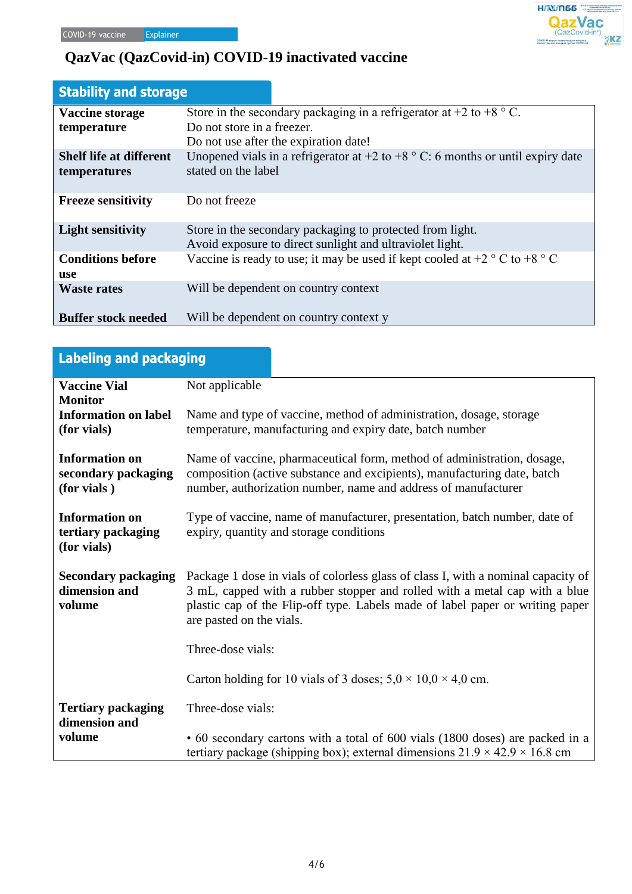| <b>Stability and storage</b>    |                                                                                                                       |
|---------------------------------|-----------------------------------------------------------------------------------------------------------------------|
| Vaccine storage                 | Store in the secondary packaging in a refrigerator at $+2$ to $+8$ ° C.                                               |
| temperature                     | Do not store in a freezer.                                                                                            |
|                                 | Do not use after the expiration date!                                                                                 |
| <b>Shelf life at different</b>  | Unopened vials in a refrigerator at $+2$ to $+8$ ° C: 6 months or until expiry date                                   |
| temperatures                    | stated on the label                                                                                                   |
|                                 |                                                                                                                       |
| <b>Freeze sensitivity</b>       | Do not freeze                                                                                                         |
| <b>Light sensitivity</b>        | Store in the secondary packaging to protected from light.<br>Avoid exposure to direct sunlight and ultraviolet light. |
| <b>Conditions before</b><br>use | Vaccine is ready to use; it may be used if kept cooled at $+2$ ° C to $+8$ ° C                                        |
| <b>Waste rates</b>              | Will be dependent on country context                                                                                  |
| <b>Buffer stock needed</b>      | Will be dependent on country context y                                                                                |

 $H/N/T$ 66

.<br>СОVID-19 киром казақстандық вакцина<br>Казахстанская вакцина против СОVID-19

**QazVac** 

| Labeling and packaging                                      |                                                                                                                                                                                                                                                                              |  |
|-------------------------------------------------------------|------------------------------------------------------------------------------------------------------------------------------------------------------------------------------------------------------------------------------------------------------------------------------|--|
| <b>Vaccine Vial</b><br><b>Monitor</b>                       | Not applicable                                                                                                                                                                                                                                                               |  |
| <b>Information on label</b><br>(for vials)                  | Name and type of vaccine, method of administration, dosage, storage<br>temperature, manufacturing and expiry date, batch number                                                                                                                                              |  |
| <b>Information on</b><br>secondary packaging<br>(for vials) | Name of vaccine, pharmaceutical form, method of administration, dosage,<br>composition (active substance and excipients), manufacturing date, batch<br>number, authorization number, name and address of manufacturer                                                        |  |
| <b>Information on</b><br>tertiary packaging<br>(for vials)  | Type of vaccine, name of manufacturer, presentation, batch number, date of<br>expiry, quantity and storage conditions                                                                                                                                                        |  |
| <b>Secondary packaging</b><br>dimension and<br>volume       | Package 1 dose in vials of colorless glass of class I, with a nominal capacity of<br>3 mL, capped with a rubber stopper and rolled with a metal cap with a blue<br>plastic cap of the Flip-off type. Labels made of label paper or writing paper<br>are pasted on the vials. |  |
|                                                             | Three-dose vials:                                                                                                                                                                                                                                                            |  |
|                                                             | Carton holding for 10 vials of 3 doses; $5.0 \times 10.0 \times 4.0$ cm.                                                                                                                                                                                                     |  |
| <b>Tertiary packaging</b><br>dimension and                  | Three-dose vials:                                                                                                                                                                                                                                                            |  |
| volume                                                      | • 60 secondary cartons with a total of 600 vials (1800 doses) are packed in a<br>tertiary package (shipping box); external dimensions $21.9 \times 42.9 \times 16.8$ cm                                                                                                      |  |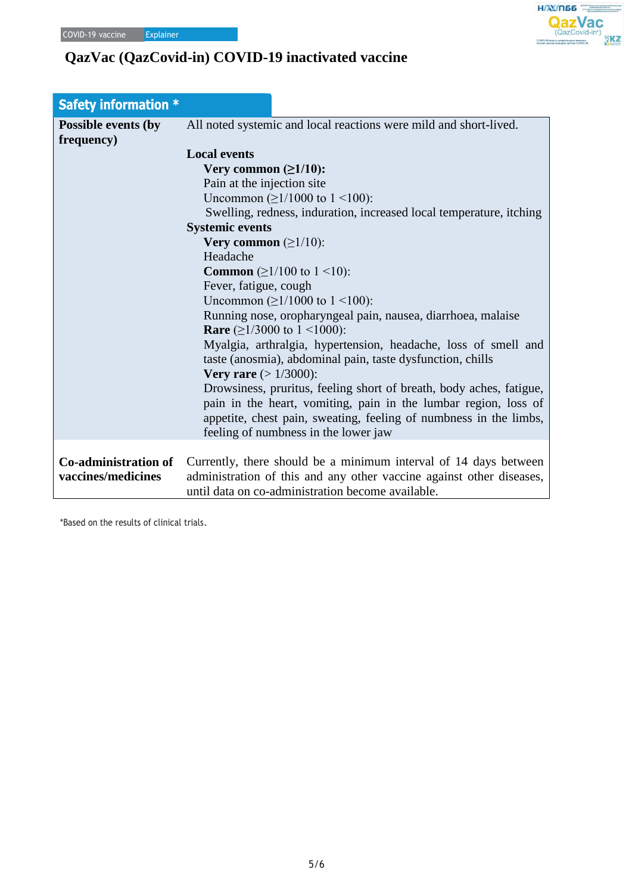| <b>Safety information *</b>              |                                                                                                                                        |
|------------------------------------------|----------------------------------------------------------------------------------------------------------------------------------------|
| <b>Possible events (by</b><br>frequency) | All noted systemic and local reactions were mild and short-lived.                                                                      |
|                                          | <b>Local events</b>                                                                                                                    |
|                                          | Very common $(\geq 1/10)$ :                                                                                                            |
|                                          | Pain at the injection site                                                                                                             |
|                                          | Uncommon (≥1/1000 to 1 <100):                                                                                                          |
|                                          | Swelling, redness, induration, increased local temperature, itching                                                                    |
|                                          | <b>Systemic events</b>                                                                                                                 |
|                                          | Very common $(\geq 1/10)$ :                                                                                                            |
|                                          | Headache                                                                                                                               |
|                                          | <b>Common</b> $(\geq 1/100 \text{ to } 1 \leq 10)$ :                                                                                   |
|                                          | Fever, fatigue, cough                                                                                                                  |
|                                          | Uncommon $(\geq 1/1000$ to $1 \leq 100)$ :                                                                                             |
|                                          | Running nose, oropharyngeal pain, nausea, diarrhoea, malaise<br><b>Rare</b> ( $\geq$ 1/3000 to 1 <1000):                               |
|                                          | Myalgia, arthralgia, hypertension, headache, loss of smell and                                                                         |
|                                          | taste (anosmia), abdominal pain, taste dysfunction, chills                                                                             |
|                                          | <b>Very rare</b> $(>1/3000)$ :                                                                                                         |
|                                          | Drowsiness, pruritus, feeling short of breath, body aches, fatigue,<br>pain in the heart, vomiting, pain in the lumbar region, loss of |
|                                          | appetite, chest pain, sweating, feeling of numbness in the limbs,                                                                      |
|                                          | feeling of numbness in the lower jaw                                                                                                   |
|                                          |                                                                                                                                        |
| <b>Co-administration of</b>              | Currently, there should be a minimum interval of 14 days between                                                                       |
| vaccines/medicines                       | administration of this and any other vaccine against other diseases,<br>until data on co-administration become available.              |
|                                          |                                                                                                                                        |

 $H/N/T$ 66 **QazVac** 

 $\overline{3}$ KZ

\*Based on the results of clinical trials.